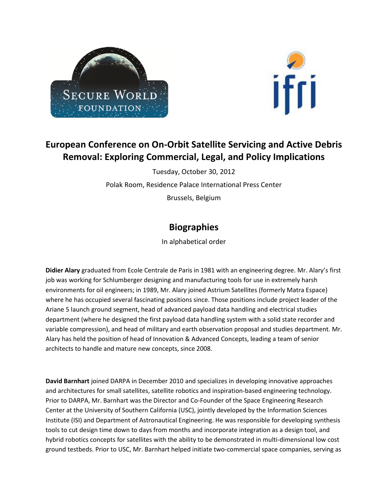



## **European Conference on On-Orbit Satellite Servicing and Active Debris Removal: Exploring Commercial, Legal, and Policy Implications**

Tuesday, October 30, 2012 Polak Room, Residence Palace International Press Center Brussels, Belgium

## **Biographies**

In alphabetical order

**Didier Alary** graduated from Ecole Centrale de Paris in 1981 with an engineering degree. Mr. Alary's first job was working for Schlumberger designing and manufacturing tools for use in extremely harsh environments for oil engineers; in 1989, Mr. Alary joined Astrium Satellites (formerly Matra Espace) where he has occupied several fascinating positions since. Those positions include project leader of the Ariane 5 launch ground segment, head of advanced payload data handling and electrical studies department (where he designed the first payload data handling system with a solid state recorder and variable compression), and head of military and earth observation proposal and studies department. Mr. Alary has held the position of head of Innovation & Advanced Concepts, leading a team of senior architects to handle and mature new concepts, since 2008.

**David Barnhart** joined DARPA in December 2010 and specializes in developing innovative approaches and architectures for small satellites, satellite robotics and inspiration-based engineering technology. Prior to DARPA, Mr. Barnhart was the Director and Co-Founder of the Space Engineering Research Center at the University of Southern California (USC), jointly developed by the Information Sciences Institute (ISI) and Department of Astronautical Engineering. He was responsible for developing synthesis tools to cut design time down to days from months and incorporate integration as a design tool, and hybrid robotics concepts for satellites with the ability to be demonstrated in multi-dimensional low cost ground testbeds. Prior to USC, Mr. Barnhart helped initiate two-commercial space companies, serving as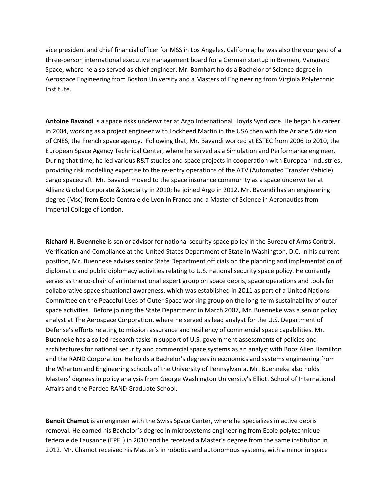vice president and chief financial officer for MSS in Los Angeles, California; he was also the youngest of a three-person international executive management board for a German startup in Bremen, Vanguard Space, where he also served as chief engineer. Mr. Barnhart holds a Bachelor of Science degree in Aerospace Engineering from Boston University and a Masters of Engineering from Virginia Polytechnic Institute.

**Antoine Bavandi** is a space risks underwriter at Argo International Lloyds Syndicate. He began his career in 2004, working as a project engineer with Lockheed Martin in the USA then with the Ariane 5 division of CNES, the French space agency. Following that, Mr. Bavandi worked at ESTEC from 2006 to 2010, the European Space Agency Technical Center, where he served as a Simulation and Performance engineer. During that time, he led various R&T studies and space projects in cooperation with European industries, providing risk modelling expertise to the re-entry operations of the ATV (Automated Transfer Vehicle) cargo spacecraft. Mr. Bavandi moved to the space insurance community as a space underwriter at Allianz Global Corporate & Specialty in 2010; he joined Argo in 2012. Mr. Bavandi has an engineering degree (Msc) from Ecole Centrale de Lyon in France and a Master of Science in Aeronautics from Imperial College of London.

**Richard H. Buenneke** is senior advisor for national security space policy in the Bureau of Arms Control, Verification and Compliance at the United States Department of State in Washington, D.C. In his current position, Mr. Buenneke advises senior State Department officials on the planning and implementation of diplomatic and public diplomacy activities relating to U.S. national security space policy. He currently serves as the co-chair of an international expert group on space debris, space operations and tools for collaborative space situational awareness, which was established in 2011 as part of a United Nations Committee on the Peaceful Uses of Outer Space working group on the long-term sustainability of outer space activities. Before joining the State Department in March 2007, Mr. Buenneke was a senior policy analyst at The Aerospace Corporation, where he served as lead analyst for the U.S. Department of Defense's efforts relating to mission assurance and resiliency of commercial space capabilities. Mr. Buenneke has also led research tasks in support of U.S. government assessments of policies and architectures for national security and commercial space systems as an analyst with Booz Allen Hamilton and the RAND Corporation. He holds a Bachelor's degrees in economics and systems engineering from the Wharton and Engineering schools of the University of Pennsylvania. Mr. Buenneke also holds Masters' degrees in policy analysis from George Washington University's Elliott School of International Affairs and the Pardee RAND Graduate School.

**Benoit Chamot** is an engineer with the Swiss Space Center, where he specializes in active debris removal. He earned his Bachelor's degree in microsystems engineering from Ecole polytechnique federale de Lausanne (EPFL) in 2010 and he received a Master's degree from the same institution in 2012. Mr. Chamot received his Master's in robotics and autonomous systems, with a minor in space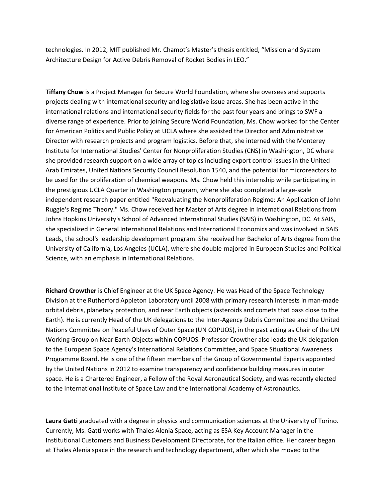technologies. In 2012, MIT published Mr. Chamot's Master's thesis entitled, "Mission and System Architecture Design for Active Debris Removal of Rocket Bodies in LEO."

**Tiffany Chow** is a Project Manager for Secure World Foundation, where she oversees and supports projects dealing with international security and legislative issue areas. She has been active in the international relations and international security fields for the past four years and brings to SWF a diverse range of experience. Prior to joining Secure World Foundation, Ms. Chow worked for the Center for American Politics and Public Policy at UCLA where she assisted the Director and Administrative Director with research projects and program logistics. Before that, she interned with the Monterey Institute for International Studies' Center for Nonproliferation Studies (CNS) in Washington, DC where she provided research support on a wide array of topics including export control issues in the United Arab Emirates, United Nations Security Council Resolution 1540, and the potential for microreactors to be used for the proliferation of chemical weapons. Ms. Chow held this internship while participating in the prestigious UCLA Quarter in Washington program, where she also completed a large-scale independent research paper entitled "Reevaluating the Nonproliferation Regime: An Application of John Ruggie's Regime Theory." Ms. Chow received her Master of Arts degree in International Relations from Johns Hopkins University's School of Advanced International Studies (SAIS) in Washington, DC. At SAIS, she specialized in General International Relations and International Economics and was involved in SAIS Leads, the school's leadership development program. She received her Bachelor of Arts degree from the University of California, Los Angeles (UCLA), where she double-majored in European Studies and Political Science, with an emphasis in International Relations.

**Richard Crowther** is Chief Engineer at the UK Space Agency. He was Head of the Space Technology Division at the Rutherford Appleton Laboratory until 2008 with primary research interests in man-made orbital debris, planetary protection, and near Earth objects (asteroids and comets that pass close to the Earth). He is currently Head of the UK delegations to the Inter-Agency Debris Committee and the United Nations Committee on Peaceful Uses of Outer Space (UN COPUOS), in the past acting as Chair of the UN Working Group on Near Earth Objects within COPUOS. Professor Crowther also leads the UK delegation to the European Space Agency's International Relations Committee, and Space Situational Awareness Programme Board. He is one of the fifteen members of the Group of Governmental Experts appointed by the United Nations in 2012 to examine transparency and confidence building measures in outer space. He is a Chartered Engineer, a Fellow of the Royal Aeronautical Society, and was recently elected to the International Institute of Space Law and the International Academy of Astronautics.

**Laura Gatti** graduated with a degree in physics and communication sciences at the University of Torino. Currently, Ms. Gatti works with Thales Alenia Space, acting as ESA Key Account Manager in the Institutional Customers and Business Development Directorate, for the Italian office. Her career began at Thales Alenia space in the research and technology department, after which she moved to the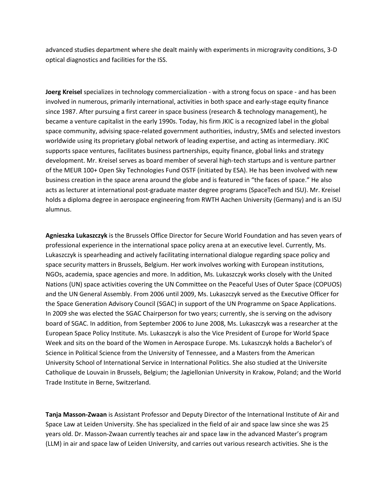advanced studies department where she dealt mainly with experiments in microgravity conditions, 3-D optical diagnostics and facilities for the ISS.

**Joerg Kreisel** specializes in technology commercialization - with a strong focus on space - and has been involved in numerous, primarily international, activities in both space and early-stage equity finance since 1987. After pursuing a first career in space business (research & technology management), he became a venture capitalist in the early 1990s. Today, his firm JKIC is a recognized label in the global space community, advising space-related government authorities, industry, SMEs and selected investors worldwide using its proprietary global network of leading expertise, and acting as intermediary. JKIC supports space ventures, facilitates business partnerships, equity finance, global links and strategy development. Mr. Kreisel serves as board member of several high-tech startups and is venture partner of the MEUR 100+ Open Sky Technologies Fund OSTF (initiated by ESA). He has been involved with new business creation in the space arena around the globe and is featured in "the faces of space." He also acts as lecturer at international post-graduate master degree programs (SpaceTech and ISU). Mr. Kreisel holds a diploma degree in aerospace engineering from RWTH Aachen University (Germany) and is an ISU alumnus.

**Agnieszka Lukaszczyk** is the Brussels Office Director for Secure World Foundation and has seven years of professional experience in the international space policy arena at an executive level. Currently, Ms. Lukaszczyk is spearheading and actively facilitating international dialogue regarding space policy and space security matters in Brussels, Belgium. Her work involves working with European institutions, NGOs, academia, space agencies and more. In addition, Ms. Lukaszczyk works closely with the United Nations (UN) space activities covering the UN Committee on the Peaceful Uses of Outer Space (COPUOS) and the UN General Assembly. From 2006 until 2009, Ms. Lukaszczyk served as the Executive Officer for the Space Generation Advisory Council (SGAC) in support of the UN Programme on Space Applications. In 2009 she was elected the SGAC Chairperson for two years; currently, she is serving on the advisory board of SGAC. In addition, from September 2006 to June 2008, Ms. Lukaszczyk was a researcher at the European Space Policy Institute. Ms. Lukaszczyk is also the Vice President of Europe for World Space Week and sits on the board of the Women in Aerospace Europe. Ms. Lukaszczyk holds a Bachelor's of Science in Political Science from the University of Tennessee, and a Masters from the American University School of International Service in International Politics. She also studied at the Universite Catholique de Louvain in Brussels, Belgium; the Jagiellonian University in Krakow, Poland; and the World Trade Institute in Berne, Switzerland.

**Tanja Masson-Zwaan** is Assistant Professor and Deputy Director of the International Institute of Air and Space Law at Leiden University. She has specialized in the field of air and space law since she was 25 years old. Dr. Masson-Zwaan currently teaches air and space law in the advanced Master's program (LLM) in air and space law of Leiden University, and carries out various research activities. She is the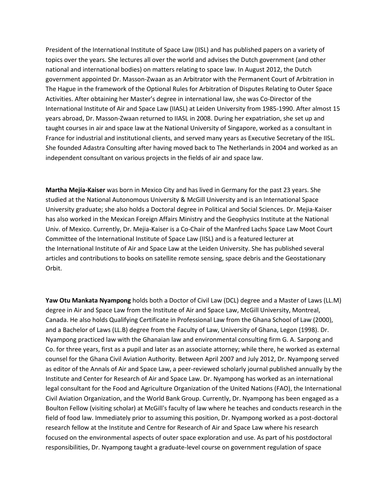President of the International Institute of Space Law (IISL) and has published papers on a variety of topics over the years. She lectures all over the world and advises the Dutch government (and other national and international bodies) on matters relating to space law. In August 2012, the Dutch government appointed Dr. Masson-Zwaan as an Arbitrator with the Permanent Court of Arbitration in The Hague in the framework of the Optional Rules for Arbitration of Disputes Relating to Outer Space Activities. After obtaining her Master's degree in international law, she was Co-Director of the International Institute of Air and Space Law (IIASL) at Leiden University from 1985-1990. After almost 15 years abroad, Dr. Masson-Zwaan returned to IIASL in 2008. During her expatriation, she set up and taught courses in air and space law at the National University of Singapore, worked as a consultant in France for industrial and institutional clients, and served many years as Executive Secretary of the IISL. She founded Adastra Consulting after having moved back to The Netherlands in 2004 and worked as an independent consultant on various projects in the fields of air and space law.

**Martha Mejía-Kaiser** was born in Mexico City and has lived in Germany for the past 23 years. She studied at the National Autonomous University & McGill University and is an International Space University graduate; she also holds a Doctoral degree in Political and Social Sciences. Dr. Mejia-Kaiser has also worked in the Mexican Foreign Affairs Ministry and the Geophysics Institute at the National Univ. of Mexico. Currently, Dr. Mejia-Kaiser is a Co-Chair of the Manfred Lachs Space Law Moot Court Committee of the International Institute of Space Law (IISL) and is a featured lecturer at the International Institute of Air and Space Law at the Leiden University. She has published several articles and contributions to books on satellite remote sensing, space debris and the Geostationary Orbit.

**Yaw Otu Mankata Nyampong** holds both a Doctor of Civil Law (DCL) degree and a Master of Laws (LL.M) degree in Air and Space Law from the Institute of Air and Space Law, McGill University, Montreal, Canada. He also holds Qualifying Certificate in Professional Law from the Ghana School of Law (2000), and a Bachelor of Laws (LL.B) degree from the Faculty of Law, University of Ghana, Legon (1998). Dr. Nyampong practiced law with the Ghanaian law and environmental consulting firm G. A. Sarpong and Co. for three years, first as a pupil and later as an associate attorney; while there, he worked as external counsel for the Ghana Civil Aviation Authority. Between April 2007 and July 2012, Dr. Nyampong served as editor of the Annals of Air and Space Law, a peer-reviewed scholarly journal published annually by the Institute and Center for Research of Air and Space Law. Dr. Nyampong has worked as an international legal consultant for the Food and Agriculture Organization of the United Nations (FAO), the International Civil Aviation Organization, and the World Bank Group. Currently, Dr. Nyampong has been engaged as a Boulton Fellow (visiting scholar) at McGill's faculty of law where he teaches and conducts research in the field of food law. Immediately prior to assuming this position, Dr. Nyampong worked as a post-doctoral research fellow at the Institute and Centre for Research of Air and Space Law where his research focused on the environmental aspects of outer space exploration and use. As part of his postdoctoral responsibilities, Dr. Nyampong taught a graduate-level course on government regulation of space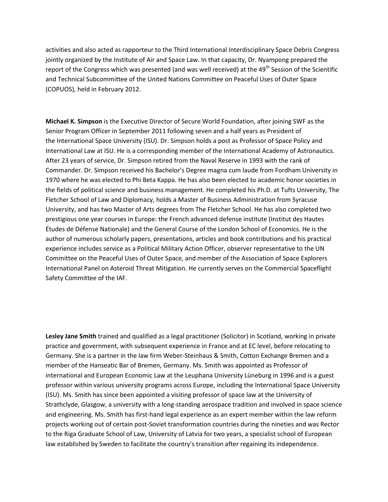activities and also acted as rapporteur to the Third International Interdisciplinary Space Debris Congress jointly organized by the Institute of Air and Space Law. In that capacity, Dr. Nyampong prepared the report of the Congress which was presented (and was well received) at the 49<sup>th</sup> Session of the Scientific and Technical Subcommittee of the United Nations Committee on Peaceful Uses of Outer Space (COPUOS), held in February 2012.

**Michael K. Simpson** is the Executive Director of Secure World Foundation, after joining SWF as the Senior Program Officer in September 2011 following seven and a half years as President of the International Space University (ISU). Dr. Simpson holds a post as Professor of Space Policy and International Law at ISU. He is a corresponding member of the International Academy of Astronautics. After 23 years of service, Dr. Simpson retired from the Naval Reserve in 1993 with the rank of Commander. Dr. Simpson received his Bachelor's Degree magna cum laude from Fordham University in 1970 where he was elected to Phi Beta Kappa. He has also been elected to academic honor societies in the fields of political science and business management. He completed his Ph.D. at Tufts University, The Fletcher School of Law and Diplomacy, holds a Master of Business Administration from Syracuse University, and has two Master of Arts degrees from The Fletcher School. He has also completed two prestigious one year courses in Europe: the French advanced defense institute (Institut des Hautes Études de Défense Nationale) and the General Course of the London School of Economics. He is the author of numerous scholarly papers, presentations, articles and book contributions and his practical experience includes service as a Political Military Action Officer, observer representative to the UN Committee on the Peaceful Uses of Outer Space, and member of the Association of Space Explorers International Panel on Asteroid Threat Mitigation. He currently serves on the Commercial Spaceflight Safety Committee of the IAF.

**Lesley Jane Smith** trained and qualified as a legal practitioner (Solicitor) in Scotland, working in private practice and government, with subsequent experience in France and at EC level, before relocating to Germany. She is a partner in the law firm Weber-Steinhaus & Smith, Cotton Exchange Bremen and a member of the Hanseatic Bar of Bremen, Germany. Ms. Smith was appointed as Professor of international and European Economic Law at the Leuphana University Lüneburg in 1996 and is a guest professor within various university programs across Europe, including the International Space University (ISU). Ms. Smith has since been appointed a visiting professor of space law at the University of Strathclyde, Glasgow, a university with a long-standing aerospace tradition and involved in space science and engineering. Ms. Smith has first-hand legal experience as an expert member within the law reform projects working out of certain post-Soviet transformation countries during the nineties and was Rector to the Riga Graduate School of Law, University of Latvia for two years, a specialist school of European law established by Sweden to facilitate the country's transition after regaining its independence.